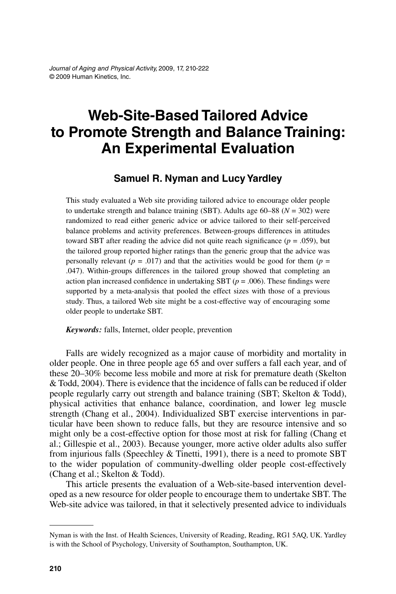*Journal of Aging and Physical Activity,* 2009, 17, 210-222 © 2009 Human Kinetics, Inc.

# **Web-Site-Based Tailored Advice to Promote Strength and Balance Training: An Experimental Evaluation**

#### **Samuel R. Nyman and Lucy Yardley**

This study evaluated a Web site providing tailored advice to encourage older people to undertake strength and balance training (SBT). Adults age 60–88 (*N* = 302) were randomized to read either generic advice or advice tailored to their self-perceived balance problems and activity preferences. Between-groups differences in attitudes toward SBT after reading the advice did not quite reach significance ( $p = .059$ ), but the tailored group reported higher ratings than the generic group that the advice was personally relevant ( $p = .017$ ) and that the activities would be good for them ( $p =$ .047). Within-groups differences in the tailored group showed that completing an action plan increased confidence in undertaking SBT ( $p = .006$ ). These findings were supported by a meta-analysis that pooled the effect sizes with those of a previous study. Thus, a tailored Web site might be a cost-effective way of encouraging some older people to undertake SBT.

*Keywords:* falls, Internet, older people, prevention

Falls are widely recognized as a major cause of morbidity and mortality in older people. One in three people age 65 and over suffers a fall each year, and of these 20–30% become less mobile and more at risk for premature death (Skelton & Todd, 2004). There is evidence that the incidence of falls can be reduced if older people regularly carry out strength and balance training (SBT; Skelton & Todd), physical activities that enhance balance, coordination, and lower leg muscle strength (Chang et al., 2004). Individualized SBT exercise interventions in particular have been shown to reduce falls, but they are resource intensive and so might only be a cost-effective option for those most at risk for falling (Chang et al.; Gillespie et al., 2003). Because younger, more active older adults also suffer from injurious falls (Speechley & Tinetti, 1991), there is a need to promote SBT to the wider population of community-dwelling older people cost-effectively (Chang et al.; Skelton & Todd).

This article presents the evaluation of a Web-site-based intervention developed as a new resource for older people to encourage them to undertake SBT. The Web-site advice was tailored, in that it selectively presented advice to individuals

Nyman is with the Inst. of Health Sciences, University of Reading, Reading, RG1 5AQ, UK. Yardley is with the School of Psychology, University of Southampton, Southampton, UK.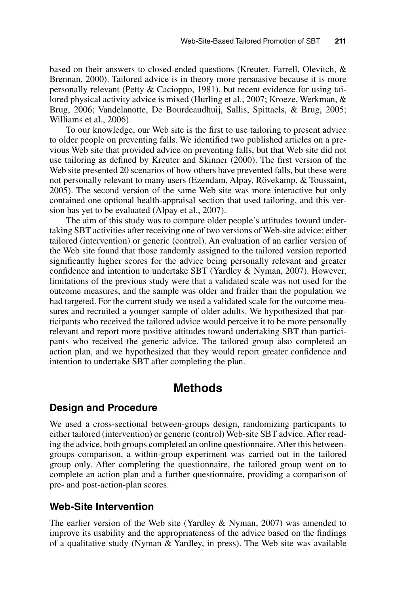based on their answers to closed-ended questions (Kreuter, Farrell, Olevitch, & Brennan, 2000). Tailored advice is in theory more persuasive because it is more personally relevant (Petty & Cacioppo, 1981), but recent evidence for using tailored physical activity advice is mixed (Hurling et al., 2007; Kroeze, Werkman, & Brug, 2006; Vandelanotte, De Bourdeaudhuij, Sallis, Spittaels, & Brug, 2005; Williams et al., 2006).

To our knowledge, our Web site is the first to use tailoring to present advice to older people on preventing falls. We identified two published articles on a previous Web site that provided advice on preventing falls, but that Web site did not use tailoring as defined by Kreuter and Skinner (2000). The first version of the Web site presented 20 scenarios of how others have prevented falls, but these were not personally relevant to many users (Ezendam, Alpay, Rövekamp, & Toussaint, 2005). The second version of the same Web site was more interactive but only contained one optional health-appraisal section that used tailoring, and this version has yet to be evaluated (Alpay et al., 2007).

The aim of this study was to compare older people's attitudes toward undertaking SBT activities after receiving one of two versions of Web-site advice: either tailored (intervention) or generic (control). An evaluation of an earlier version of the Web site found that those randomly assigned to the tailored version reported significantly higher scores for the advice being personally relevant and greater confidence and intention to undertake SBT (Yardley & Nyman, 2007). However, limitations of the previous study were that a validated scale was not used for the outcome measures, and the sample was older and frailer than the population we had targeted. For the current study we used a validated scale for the outcome measures and recruited a younger sample of older adults. We hypothesized that participants who received the tailored advice would perceive it to be more personally relevant and report more positive attitudes toward undertaking SBT than participants who received the generic advice. The tailored group also completed an action plan, and we hypothesized that they would report greater confidence and intention to undertake SBT after completing the plan.

### **Methods**

#### **Design and Procedure**

We used a cross-sectional between-groups design, randomizing participants to either tailored (intervention) or generic (control) Web-site SBT advice. After reading the advice, both groups completed an online questionnaire. After this betweengroups comparison, a within-group experiment was carried out in the tailored group only. After completing the questionnaire, the tailored group went on to complete an action plan and a further questionnaire, providing a comparison of pre- and post-action-plan scores.

#### **Web-Site Intervention**

The earlier version of the Web site (Yardley & Nyman, 2007) was amended to improve its usability and the appropriateness of the advice based on the findings of a qualitative study (Nyman & Yardley, in press). The Web site was available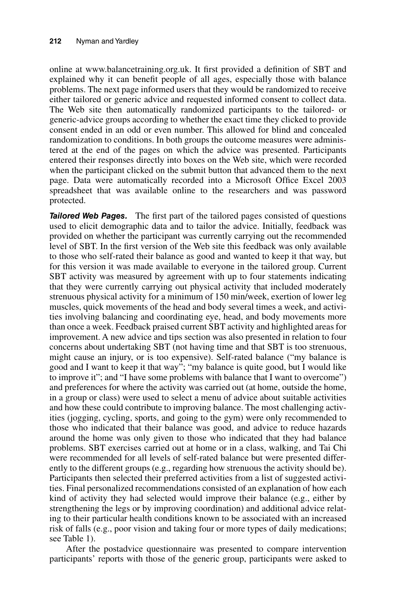online at www.balancetraining.org.uk. It first provided a definition of SBT and explained why it can benefit people of all ages, especially those with balance problems. The next page informed users that they would be randomized to receive either tailored or generic advice and requested informed consent to collect data. The Web site then automatically randomized participants to the tailored- or generic-advice groups according to whether the exact time they clicked to provide consent ended in an odd or even number. This allowed for blind and concealed randomization to conditions. In both groups the outcome measures were administered at the end of the pages on which the advice was presented. Participants entered their responses directly into boxes on the Web site, which were recorded when the participant clicked on the submit button that advanced them to the next page. Data were automatically recorded into a Microsoft Office Excel 2003 spreadsheet that was available online to the researchers and was password protected.

*Tailored Web Pages.* The first part of the tailored pages consisted of questions used to elicit demographic data and to tailor the advice. Initially, feedback was provided on whether the participant was currently carrying out the recommended level of SBT. In the first version of the Web site this feedback was only available to those who self-rated their balance as good and wanted to keep it that way, but for this version it was made available to everyone in the tailored group. Current SBT activity was measured by agreement with up to four statements indicating that they were currently carrying out physical activity that included moderately strenuous physical activity for a minimum of 150 min/week, exertion of lower leg muscles, quick movements of the head and body several times a week, and activities involving balancing and coordinating eye, head, and body movements more than once a week. Feedback praised current SBT activity and highlighted areas for improvement. A new advice and tips section was also presented in relation to four concerns about undertaking SBT (not having time and that SBT is too strenuous, might cause an injury, or is too expensive). Self-rated balance ("my balance is good and I want to keep it that way"; "my balance is quite good, but I would like to improve it"; and "I have some problems with balance that I want to overcome") and preferences for where the activity was carried out (at home, outside the home, in a group or class) were used to select a menu of advice about suitable activities and how these could contribute to improving balance. The most challenging activities (jogging, cycling, sports, and going to the gym) were only recommended to those who indicated that their balance was good, and advice to reduce hazards around the home was only given to those who indicated that they had balance problems. SBT exercises carried out at home or in a class, walking, and Tai Chi were recommended for all levels of self-rated balance but were presented differently to the different groups (e.g., regarding how strenuous the activity should be). Participants then selected their preferred activities from a list of suggested activities. Final personalized recommendations consisted of an explanation of how each kind of activity they had selected would improve their balance (e.g., either by strengthening the legs or by improving coordination) and additional advice relating to their particular health conditions known to be associated with an increased risk of falls (e.g., poor vision and taking four or more types of daily medications; see Table 1).

After the postadvice questionnaire was presented to compare intervention participants' reports with those of the generic group, participants were asked to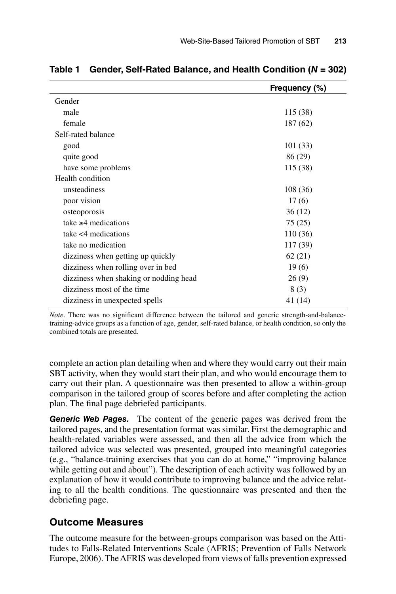|                                        | Frequency (%) |
|----------------------------------------|---------------|
| Gender                                 |               |
| male                                   | 115(38)       |
| female                                 | 187 (62)      |
| Self-rated balance                     |               |
| good                                   | 101(33)       |
| quite good                             | 86 (29)       |
| have some problems                     | 115 (38)      |
| Health condition                       |               |
| unsteadiness                           | 108 (36)      |
| poor vision                            | 17(6)         |
| osteoporosis                           | 36(12)        |
| take $\geq 4$ medications              | 75 (25)       |
| take $\leq$ 4 medications              | 110 (36)      |
| take no medication                     | 117 (39)      |
| dizziness when getting up quickly      | 62(21)        |
| dizziness when rolling over in bed     | 19(6)         |
| dizziness when shaking or nodding head | 26(9)         |
| dizziness most of the time             | 8(3)          |
| dizziness in unexpected spells         | 41 (14)       |

**Table 1 Gender, Self-Rated Balance, and Health Condition (***N* **= 302)**

*Note*. There was no significant difference between the tailored and generic strength-and-balancetraining-advice groups as a function of age, gender, self-rated balance, or health condition, so only the combined totals are presented.

complete an action plan detailing when and where they would carry out their main SBT activity, when they would start their plan, and who would encourage them to carry out their plan. A questionnaire was then presented to allow a within-group comparison in the tailored group of scores before and after completing the action plan. The final page debriefed participants.

*Generic Web Pages.* The content of the generic pages was derived from the tailored pages, and the presentation format was similar. First the demographic and health-related variables were assessed, and then all the advice from which the tailored advice was selected was presented, grouped into meaningful categories (e.g., "balance-training exercises that you can do at home," "improving balance while getting out and about"). The description of each activity was followed by an explanation of how it would contribute to improving balance and the advice relating to all the health conditions. The questionnaire was presented and then the debriefing page.

# **Outcome Measures**

The outcome measure for the between-groups comparison was based on the Attitudes to Falls-Related Interventions Scale (AFRIS; Prevention of Falls Network Europe, 2006). The AFRIS was developed from views of falls prevention expressed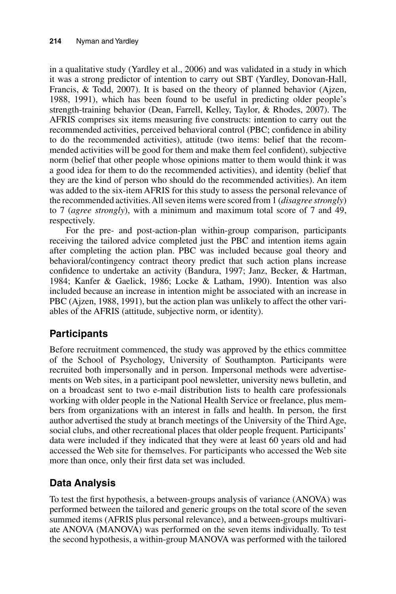in a qualitative study (Yardley et al., 2006) and was validated in a study in which it was a strong predictor of intention to carry out SBT (Yardley, Donovan-Hall, Francis, & Todd, 2007). It is based on the theory of planned behavior (Ajzen, 1988, 1991), which has been found to be useful in predicting older people's strength-training behavior (Dean, Farrell, Kelley, Taylor, & Rhodes, 2007). The AFRIS comprises six items measuring five constructs: intention to carry out the recommended activities, perceived behavioral control (PBC; confidence in ability to do the recommended activities), attitude (two items: belief that the recommended activities will be good for them and make them feel confident), subjective norm (belief that other people whose opinions matter to them would think it was a good idea for them to do the recommended activities), and identity (belief that they are the kind of person who should do the recommended activities). An item was added to the six-item AFRIS for this study to assess the personal relevance of the recommended activities. All seven items were scored from 1 (*disagree strongly*) to 7 (*agree strongly*), with a minimum and maximum total score of 7 and 49, respectively.

For the pre- and post-action-plan within-group comparison, participants receiving the tailored advice completed just the PBC and intention items again after completing the action plan. PBC was included because goal theory and behavioral/contingency contract theory predict that such action plans increase confidence to undertake an activity (Bandura, 1997; Janz, Becker, & Hartman, 1984; Kanfer & Gaelick, 1986; Locke & Latham, 1990). Intention was also included because an increase in intention might be associated with an increase in PBC (Ajzen, 1988, 1991), but the action plan was unlikely to affect the other variables of the AFRIS (attitude, subjective norm, or identity).

### **Participants**

Before recruitment commenced, the study was approved by the ethics committee of the School of Psychology, University of Southampton. Participants were recruited both impersonally and in person. Impersonal methods were advertisements on Web sites, in a participant pool newsletter, university news bulletin, and on a broadcast sent to two e-mail distribution lists to health care professionals working with older people in the National Health Service or freelance, plus members from organizations with an interest in falls and health. In person, the first author advertised the study at branch meetings of the University of the Third Age, social clubs, and other recreational places that older people frequent. Participants' data were included if they indicated that they were at least 60 years old and had accessed the Web site for themselves. For participants who accessed the Web site more than once, only their first data set was included.

# **Data Analysis**

To test the first hypothesis, a between-groups analysis of variance (ANOVA) was performed between the tailored and generic groups on the total score of the seven summed items (AFRIS plus personal relevance), and a between-groups multivariate ANOVA (MANOVA) was performed on the seven items individually. To test the second hypothesis, a within-group MANOVA was performed with the tailored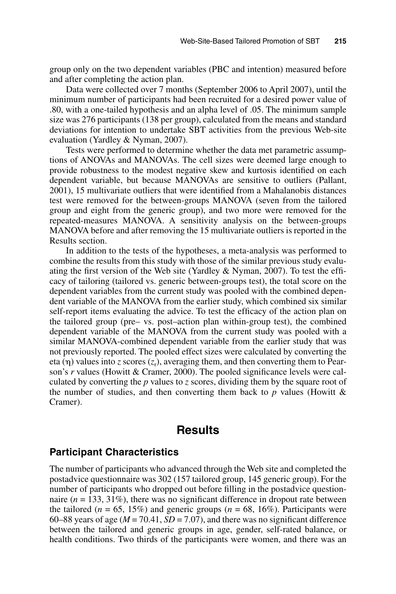group only on the two dependent variables (PBC and intention) measured before and after completing the action plan.

Data were collected over 7 months (September 2006 to April 2007), until the minimum number of participants had been recruited for a desired power value of .80, with a one-tailed hypothesis and an alpha level of .05. The minimum sample size was 276 participants (138 per group), calculated from the means and standard deviations for intention to undertake SBT activities from the previous Web-site evaluation (Yardley & Nyman, 2007).

Tests were performed to determine whether the data met parametric assumptions of ANOVAs and MANOVAs. The cell sizes were deemed large enough to provide robustness to the modest negative skew and kurtosis identified on each dependent variable, but because MANOVAs are sensitive to outliers (Pallant, 2001), 15 multivariate outliers that were identified from a Mahalanobis distances test were removed for the between-groups MANOVA (seven from the tailored group and eight from the generic group), and two more were removed for the repeated-measures MANOVA. A sensitivity analysis on the between-groups MANOVA before and after removing the 15 multivariate outliers is reported in the Results section.

In addition to the tests of the hypotheses, a meta-analysis was performed to combine the results from this study with those of the similar previous study evaluating the first version of the Web site (Yardley & Nyman, 2007). To test the efficacy of tailoring (tailored vs. generic between-groups test), the total score on the dependent variables from the current study was pooled with the combined dependent variable of the MANOVA from the earlier study, which combined six similar self-report items evaluating the advice. To test the efficacy of the action plan on the tailored group (pre– vs. post–action plan within-group test), the combined dependent variable of the MANOVA from the current study was pooled with a similar MANOVA-combined dependent variable from the earlier study that was not previously reported. The pooled effect sizes were calculated by converting the eta  $(\eta)$  values into *z* scores  $(z_r)$ , averaging them, and then converting them to Pearson's *r* values (Howitt & Cramer, 2000). The pooled significance levels were calculated by converting the *p* values to *z* scores, dividing them by the square root of the number of studies, and then converting them back to  $p$  values (Howitt  $\&$ Cramer).

# **Results**

#### **Participant Characteristics**

The number of participants who advanced through the Web site and completed the postadvice questionnaire was 302 (157 tailored group, 145 generic group). For the number of participants who dropped out before filling in the postadvice questionnaire  $(n = 133, 31\%)$ , there was no significant difference in dropout rate between the tailored ( $n = 65$ , 15%) and generic groups ( $n = 68$ , 16%). Participants were 60–88 years of age ( $M = 70.41$ ,  $SD = 7.07$ ), and there was no significant difference between the tailored and generic groups in age, gender, self-rated balance, or health conditions. Two thirds of the participants were women, and there was an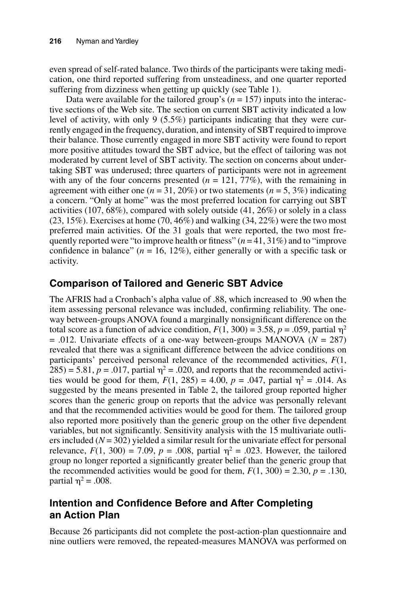even spread of self-rated balance. Two thirds of the participants were taking medication, one third reported suffering from unsteadiness, and one quarter reported suffering from dizziness when getting up quickly (see Table 1).

Data were available for the tailored group's  $(n = 157)$  inputs into the interactive sections of the Web site. The section on current SBT activity indicated a low level of activity, with only 9 (5.5%) participants indicating that they were currently engaged in the frequency, duration, and intensity of SBT required to improve their balance. Those currently engaged in more SBT activity were found to report more positive attitudes toward the SBT advice, but the effect of tailoring was not moderated by current level of SBT activity. The section on concerns about undertaking SBT was underused; three quarters of participants were not in agreement with any of the four concerns presented  $(n = 121, 77\%)$ , with the remaining in agreement with either one  $(n = 31, 20\%)$  or two statements  $(n = 5, 3\%)$  indicating a concern. "Only at home" was the most preferred location for carrying out SBT activities (107, 68%), compared with solely outside (41, 26%) or solely in a class  $(23, 15\%)$ . Exercises at home  $(70, 46\%)$  and walking  $(34, 22\%)$  were the two most preferred main activities. Of the 31 goals that were reported, the two most frequently reported were "to improve health or fitness"  $(n = 41, 31\%)$  and to "improve confidence in balance"  $(n = 16, 12\%)$ , either generally or with a specific task or activity.

#### **Comparison of Tailored and Generic SBT Advice**

The AFRIS had a Cronbach's alpha value of .88, which increased to .90 when the item assessing personal relevance was included, confirming reliability. The oneway between-groups ANOVA found a marginally nonsignificant difference on the total score as a function of advice condition,  $F(1, 300) = 3.58$ ,  $p = .059$ , partial  $\eta^2$ = .012. Univariate effects of a one-way between-groups MANOVA (*N* = 287) revealed that there was a significant difference between the advice conditions on participants' perceived personal relevance of the recommended activities, *F*(1,  $285$ ) = 5.81,  $p = .017$ , partial  $\eta^2 = .020$ , and reports that the recommended activities would be good for them,  $F(1, 285) = 4.00$ ,  $p = .047$ , partial  $\eta^2 = .014$ . As suggested by the means presented in Table 2, the tailored group reported higher scores than the generic group on reports that the advice was personally relevant and that the recommended activities would be good for them. The tailored group also reported more positively than the generic group on the other five dependent variables, but not significantly. Sensitivity analysis with the 15 multivariate outliers included  $(N = 302)$  yielded a similar result for the univariate effect for personal relevance,  $F(1, 300) = 7.09$ ,  $p = .008$ , partial  $\eta^2 = .023$ . However, the tailored group no longer reported a significantly greater belief than the generic group that the recommended activities would be good for them,  $F(1, 300) = 2.30$ ,  $p = .130$ , partial  $\eta^2$  = .008.

#### **Intention and Confidence Before and After Completing an Action Plan**

Because 26 participants did not complete the post-action-plan questionnaire and nine outliers were removed, the repeated-measures MANOVA was performed on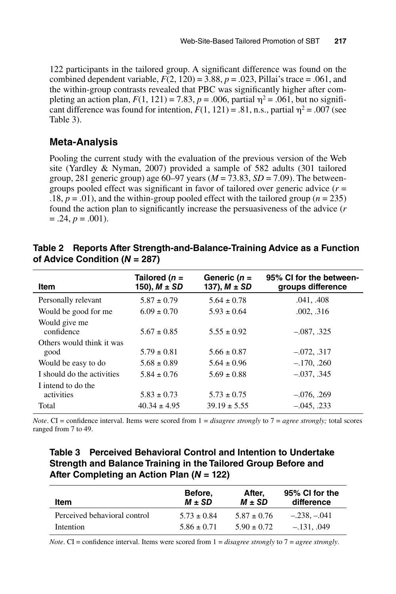122 participants in the tailored group. A significant difference was found on the combined dependent variable,  $F(2, 120) = 3.88$ ,  $p = .023$ , Pillai's trace = .061, and the within-group contrasts revealed that PBC was significantly higher after completing an action plan,  $F(1, 121) = 7.83$ ,  $p = .006$ , partial  $\eta^2 = .061$ , but no significant difference was found for intention,  $F(1, 121) = .81$ , n.s., partial  $\eta^2 = .007$  (see Table 3).

### **Meta-Analysis**

Pooling the current study with the evaluation of the previous version of the Web site (Yardley & Nyman, 2007) provided a sample of 582 adults (301 tailored group, 281 generic group) age  $60-97$  years ( $M = 73.83$ ,  $SD = 7.09$ ). The betweengroups pooled effect was significant in favor of tailored over generic advice (*r* = .18,  $p = .01$ ), and the within-group pooled effect with the tailored group ( $n = 235$ ) found the action plan to significantly increase the persuasiveness of the advice (*r*  $= .24, p = .001$ .

| Item                        | Tailored $(n =$<br>150), $M \pm SD$ | Generic $(n =$<br>137), $M \pm SD$ | 95% CI for the between-<br>groups difference |
|-----------------------------|-------------------------------------|------------------------------------|----------------------------------------------|
| Personally relevant         | $5.87 \pm 0.79$                     | $5.64 \pm 0.78$                    | .041, .408                                   |
| Would be good for me        | $6.09 \pm 0.70$                     | $5.93 \pm 0.64$                    | .002, .316                                   |
| Would give me<br>confidence | $5.67 \pm 0.85$                     | $5.55 \pm 0.92$                    | $-.087, .325$                                |
| Others would think it was   |                                     |                                    |                                              |
| good                        | $5.79 \pm 0.81$                     | $5.66 \pm 0.87$                    | $-.072, .317$                                |
| Would be easy to do         | $5.68 \pm 0.89$                     | $5.64 \pm 0.96$                    | $-.170, .260$                                |
| I should do the activities  | $5.84 \pm 0.76$                     | $5.69 \pm 0.88$                    | $-.037, .345$                                |
| I intend to do the          |                                     |                                    |                                              |
| activities                  | $5.83 \pm 0.73$                     | $5.73 \pm 0.75$                    | $-.076, .269$                                |
| Total                       | $40.34 \pm 4.95$                    | $39.19 \pm 5.55$                   | $-.045, .233$                                |

**Table 2 Reports After Strength-and-Balance-Training Advice as a Function of Advice Condition (***N* **= 287)**

*Note*. CI = confidence interval. Items were scored from 1 = *disagree strongly* to 7 = *agree strongly;* total scores ranged from 7 to 49.

#### **Table 3 Perceived Behavioral Control and Intention to Undertake Strength and Balance Training in the Tailored Group Before and After Completing an Action Plan (***N* **= 122)**

| Item                         | Before,         | After,          | 95% CI for the |
|------------------------------|-----------------|-----------------|----------------|
|                              | $M \pm SD$      | $M \pm SD$      | difference     |
| Perceived behavioral control | $5.73 \pm 0.84$ | $5.87 \pm 0.76$ | $-.238, -.041$ |
| Intention                    | $5.86 \pm 0.71$ | $5.90 \pm 0.72$ | $-.131, .049$  |

*Note*. CI = confidence interval. Items were scored from 1 = *disagree strongly* to 7 = *agree strongly*.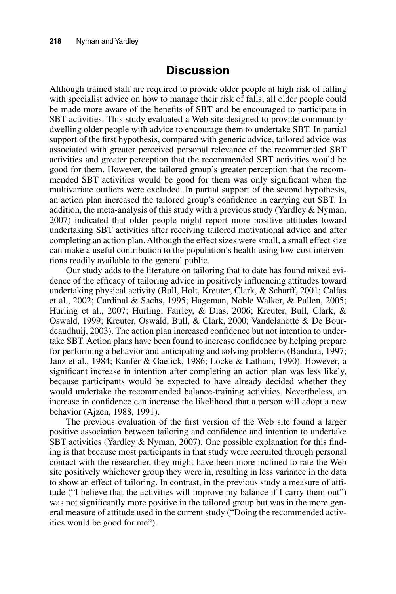# **Discussion**

Although trained staff are required to provide older people at high risk of falling with specialist advice on how to manage their risk of falls, all older people could be made more aware of the benefits of SBT and be encouraged to participate in SBT activities. This study evaluated a Web site designed to provide communitydwelling older people with advice to encourage them to undertake SBT. In partial support of the first hypothesis, compared with generic advice, tailored advice was associated with greater perceived personal relevance of the recommended SBT activities and greater perception that the recommended SBT activities would be good for them. However, the tailored group's greater perception that the recommended SBT activities would be good for them was only significant when the multivariate outliers were excluded. In partial support of the second hypothesis, an action plan increased the tailored group's confidence in carrying out SBT. In addition, the meta-analysis of this study with a previous study (Yardley  $& Ny$ man, 2007) indicated that older people might report more positive attitudes toward undertaking SBT activities after receiving tailored motivational advice and after completing an action plan. Although the effect sizes were small, a small effect size can make a useful contribution to the population's health using low-cost interventions readily available to the general public.

Our study adds to the literature on tailoring that to date has found mixed evidence of the efficacy of tailoring advice in positively influencing attitudes toward undertaking physical activity (Bull, Holt, Kreuter, Clark, & Scharff, 2001; Calfas et al., 2002; Cardinal & Sachs, 1995; Hageman, Noble Walker, & Pullen, 2005; Hurling et al., 2007; Hurling, Fairley, & Dias, 2006; Kreuter, Bull, Clark, & Oswald, 1999; Kreuter, Oswald, Bull, & Clark, 2000; Vandelanotte & De Bourdeaudhuij, 2003). The action plan increased confidence but not intention to undertake SBT. Action plans have been found to increase confidence by helping prepare for performing a behavior and anticipating and solving problems (Bandura, 1997; Janz et al., 1984; Kanfer & Gaelick, 1986; Locke & Latham, 1990). However, a significant increase in intention after completing an action plan was less likely, because participants would be expected to have already decided whether they would undertake the recommended balance-training activities. Nevertheless, an increase in confidence can increase the likelihood that a person will adopt a new behavior (Ajzen, 1988, 1991).

The previous evaluation of the first version of the Web site found a larger positive association between tailoring and confidence and intention to undertake SBT activities (Yardley & Nyman, 2007). One possible explanation for this finding is that because most participants in that study were recruited through personal contact with the researcher, they might have been more inclined to rate the Web site positively whichever group they were in, resulting in less variance in the data to show an effect of tailoring. In contrast, in the previous study a measure of attitude ("I believe that the activities will improve my balance if I carry them out") was not significantly more positive in the tailored group but was in the more general measure of attitude used in the current study ("Doing the recommended activities would be good for me").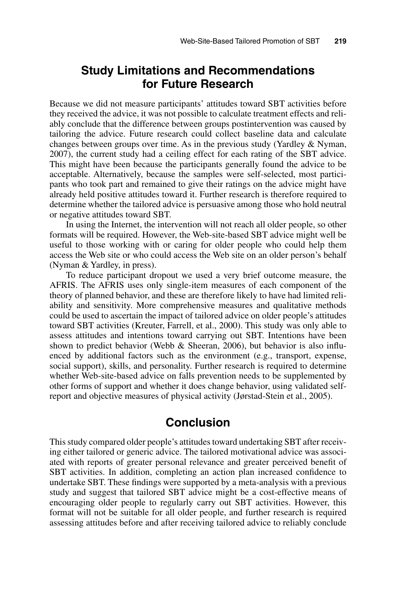# **Study Limitations and Recommendations for Future Research**

Because we did not measure participants' attitudes toward SBT activities before they received the advice, it was not possible to calculate treatment effects and reliably conclude that the difference between groups postintervention was caused by tailoring the advice. Future research could collect baseline data and calculate changes between groups over time. As in the previous study (Yardley & Nyman, 2007), the current study had a ceiling effect for each rating of the SBT advice. This might have been because the participants generally found the advice to be acceptable. Alternatively, because the samples were self-selected, most participants who took part and remained to give their ratings on the advice might have already held positive attitudes toward it. Further research is therefore required to determine whether the tailored advice is persuasive among those who hold neutral or negative attitudes toward SBT.

In using the Internet, the intervention will not reach all older people, so other formats will be required. However, the Web-site-based SBT advice might well be useful to those working with or caring for older people who could help them access the Web site or who could access the Web site on an older person's behalf (Nyman & Yardley, in press).

To reduce participant dropout we used a very brief outcome measure, the AFRIS. The AFRIS uses only single-item measures of each component of the theory of planned behavior, and these are therefore likely to have had limited reliability and sensitivity. More comprehensive measures and qualitative methods could be used to ascertain the impact of tailored advice on older people's attitudes toward SBT activities (Kreuter, Farrell, et al., 2000). This study was only able to assess attitudes and intentions toward carrying out SBT. Intentions have been shown to predict behavior (Webb & Sheeran, 2006), but behavior is also influenced by additional factors such as the environment (e.g., transport, expense, social support), skills, and personality. Further research is required to determine whether Web-site-based advice on falls prevention needs to be supplemented by other forms of support and whether it does change behavior, using validated selfreport and objective measures of physical activity (Jørstad-Stein et al., 2005).

### **Conclusion**

This study compared older people's attitudes toward undertaking SBT after receiving either tailored or generic advice. The tailored motivational advice was associated with reports of greater personal relevance and greater perceived benefit of SBT activities. In addition, completing an action plan increased confidence to undertake SBT. These findings were supported by a meta-analysis with a previous study and suggest that tailored SBT advice might be a cost-effective means of encouraging older people to regularly carry out SBT activities. However, this format will not be suitable for all older people, and further research is required assessing attitudes before and after receiving tailored advice to reliably conclude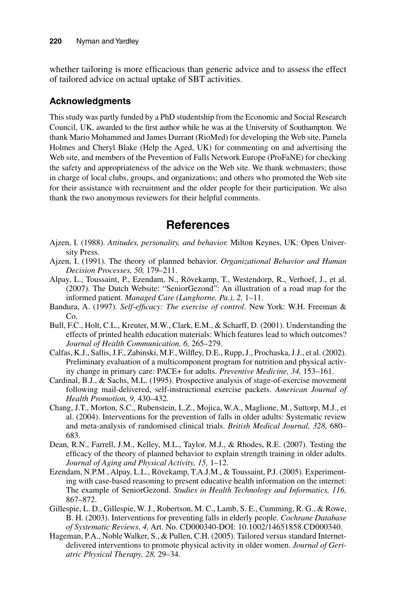whether tailoring is more efficacious than generic advice and to assess the effect of tailored advice on actual uptake of SBT activities.

#### **Acknowledgments**

This study was partly funded by a PhD studentship from the Economic and Social Research Council, UK, awarded to the first author while he was at the University of Southampton. We thank Mario Mohammed and James Durrant (RioMed) for developing the Web site, Pamela Holmes and Cheryl Blake (Help the Aged, UK) for commenting on and advertising the Web site, and members of the Prevention of Falls Network Europe (ProFaNE) for checking the safety and appropriateness of the advice on the Web site. We thank webmasters; those in charge of local clubs, groups, and organizations; and others who promoted the Web site for their assistance with recruitment and the older people for their participation. We also thank the two anonymous reviewers for their helpful comments.

### **References**

- Ajzen, I. (1988). *Attitudes, personality, and behavior.* Milton Keynes, UK: Open University Press.
- Ajzen, I. (1991). The theory of planned behavior. *Organizational Behavior and Human Decision Processes, 50,* 179–211.
- Alpay, L., Toussaint, P., Ezendam, N., Rövekamp, T., Westendorp, R., Verhoef, J., et al. (2007). The Dutch Website: "SeniorGezond": An illustration of a road map for the informed patient. *Managed Care (Langhorne, Pa.), 2,* 1–11.
- Bandura, A. (1997). *Self-efficacy: The exercise of control*. New York: W.H. Freeman & Co.
- Bull, F.C., Holt, C.L., Kreuter, M.W., Clark, E.M., & Scharff, D. (2001). Understanding the effects of printed health education materials: Which features lead to which outcomes? *Journal of Health Communication, 6,* 265–279.
- Calfas, K.J., Sallis, J.F., Zabinski, M.F., Wilfley, D.E., Rupp, J., Prochaska, J.J., et al. (2002). Preliminary evaluation of a multicomponent program for nutrition and physical activity change in primary care: PACE+ for adults. *Preventive Medicine, 34,* 153–161.
- Cardinal, B.J., & Sachs, M.L. (1995). Prospective analysis of stage-of-exercise movement following mail-delivered, self-instructional exercise packets. *American Journal of Health Promotion, 9,* 430–432.
- Chang, J.T., Morton, S.C., Rubenstein, L.Z., Mojica, W.A., Maglione, M., Suttorp, M.J., et al. (2004). Interventions for the prevention of falls in older adults: Systematic review and meta-analysis of randomised clinical trials. *British Medical Journal, 328,* 680– 683.
- Dean, R.N., Farrell, J.M., Kelley, M.L., Taylor, M.J., & Rhodes, R.E. (2007). Testing the efficacy of the theory of planned behavior to explain strength training in older adults. *Journal of Aging and Physical Activity, 15,* 1–12.
- Ezendam, N.P.M., Alpay, L.L., Rövekamp, T.A.J.M., & Toussaint, P.J. (2005). Experimenting with case-based reasoning to present educative health information on the internet: The example of SeniorGezond. *Studies in Health Technology and Informatics, 116,* 867–872.
- Gillespie, L. D., Gillespie, W. J., Robertson, M. C., Lamb, S. E., Cumming, R. G., & Rowe, B. H. (2003). Interventions for preventing falls in elderly people. *Cochrane Database of Systematic Reviews, 4,* Art. No. CD000340-DOI: 10.1002/14651858.CD000340.
- Hageman, P.A., Noble Walker, S., & Pullen, C.H. (2005). Tailored versus standard Internetdelivered interventions to promote physical activity in older women. *Journal of Geriatric Physical Therapy, 28,* 29–34.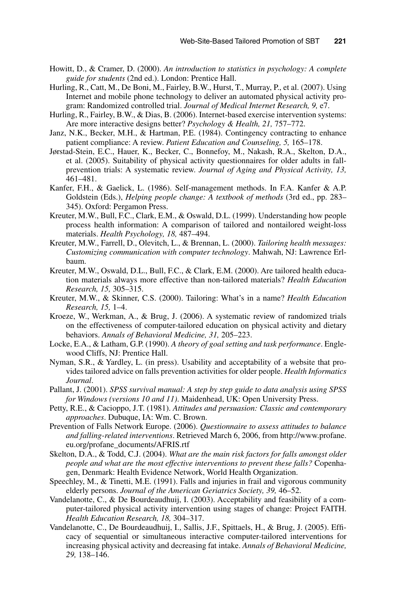- Howitt, D., & Cramer, D. (2000). *An introduction to statistics in psychology: A complete guide for students* (2nd ed.). London: Prentice Hall.
- Hurling, R., Catt, M., De Boni, M., Fairley, B.W., Hurst, T., Murray, P., et al. (2007). Using Internet and mobile phone technology to deliver an automated physical activity program: Randomized controlled trial. *Journal of Medical Internet Research, 9,* e7.
- Hurling, R., Fairley, B.W., & Dias, B. (2006). Internet-based exercise intervention systems: Are more interactive designs better? *Psychology & Health, 21,* 757–772.
- Janz, N.K., Becker, M.H., & Hartman, P.E. (1984). Contingency contracting to enhance patient compliance: A review. *Patient Education and Counseling, 5,* 165–178.
- Jørstad-Stein, E.C., Hauer, K., Becker, C., Bonnefoy, M., Nakash, R.A., Skelton, D.A., et al. (2005). Suitability of physical activity questionnaires for older adults in fallprevention trials: A systematic review. *Journal of Aging and Physical Activity, 13,* 461–481.
- Kanfer, F.H., & Gaelick, L. (1986). Self-management methods. In F.A. Kanfer & A.P. Goldstein (Eds.), *Helping people change: A textbook of methods* (3rd ed., pp. 283– 345). Oxford: Pergamon Press.
- Kreuter, M.W., Bull, F.C., Clark, E.M., & Oswald, D.L. (1999). Understanding how people process health information: A comparison of tailored and nontailored weight-loss materials. *Health Psychology, 18,* 487–494.
- Kreuter, M.W., Farrell, D., Olevitch, L., & Brennan, L. (2000). *Tailoring health messages: Customizing communication with computer technology*. Mahwah, NJ: Lawrence Erlbaum.
- Kreuter, M.W., Oswald, D.L., Bull, F.C., & Clark, E.M. (2000). Are tailored health education materials always more effective than non-tailored materials? *Health Education Research, 15,* 305–315.
- Kreuter, M.W., & Skinner, C.S. (2000). Tailoring: What's in a name? *Health Education Research, 15,* 1–4.
- Kroeze, W., Werkman, A., & Brug, J. (2006). A systematic review of randomized trials on the effectiveness of computer-tailored education on physical activity and dietary behaviors. *Annals of Behavioral Medicine, 31,* 205–223.
- Locke, E.A., & Latham, G.P. (1990). *A theory of goal setting and task performance*. Englewood Cliffs, NJ: Prentice Hall.
- Nyman, S.R., & Yardley, L. (in press). Usability and acceptability of a website that provides tailored advice on falls prevention activities for older people. *Health Informatics Journal*.
- Pallant, J. (2001). *SPSS survival manual: A step by step guide to data analysis using SPSS for Windows (versions 10 and 11)*. Maidenhead, UK: Open University Press.
- Petty, R.E., & Cacioppo, J.T. (1981). *Attitudes and persuasion: Classic and contemporary approaches*. Dubuque, IA: Wm. C. Brown.
- Prevention of Falls Network Europe. (2006). *Questionnaire to assess attitudes to balance and falling-related interventions*. Retrieved March 6, 2006, from http://www.profane. eu.org/profane\_documents/AFRIS.rtf
- Skelton, D.A., & Todd, C.J. (2004). *What are the main risk factors for falls amongst older people and what are the most effective interventions to prevent these falls?* Copenhagen, Denmark: Health Evidence Network, World Health Organization.
- Speechley, M., & Tinetti, M.E. (1991). Falls and injuries in frail and vigorous community elderly persons. *Journal of the American Geriatrics Society, 39,* 46–52.
- Vandelanotte, C., & De Bourdeaudhuij, I. (2003). Acceptability and feasibility of a computer-tailored physical activity intervention using stages of change: Project FAITH. *Health Education Research, 18,* 304–317.
- Vandelanotte, C., De Bourdeaudhuij, I., Sallis, J.F., Spittaels, H., & Brug, J. (2005). Efficacy of sequential or simultaneous interactive computer-tailored interventions for increasing physical activity and decreasing fat intake. *Annals of Behavioral Medicine, 29,* 138–146.